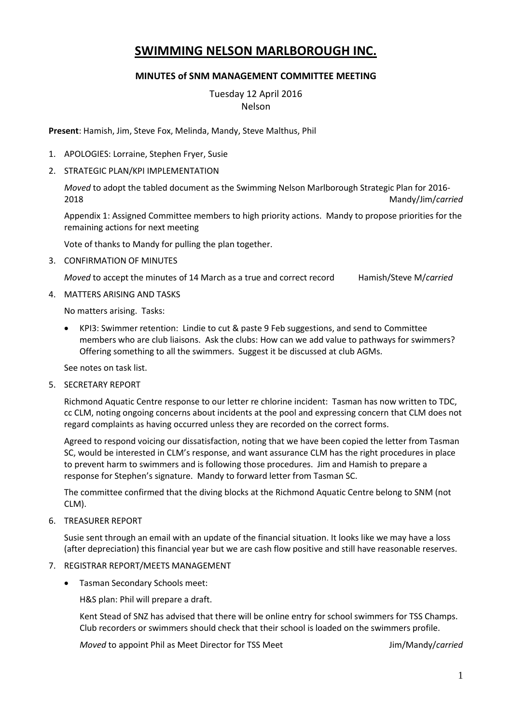# **SWIMMING NELSON MARLBOROUGH INC.**

### **MINUTES of SNM MANAGEMENT COMMITTEE MEETING**

Tuesday 12 April 2016 Nelson

**Present**: Hamish, Jim, Steve Fox, Melinda, Mandy, Steve Malthus, Phil

- 1. APOLOGIES: Lorraine, Stephen Fryer, Susie
- 2. STRATEGIC PLAN/KPI IMPLEMENTATION

*Moved* to adopt the tabled document as the Swimming Nelson Marlborough Strategic Plan for 2016- 2018 Mandy/Jim/*carried*

Appendix 1: Assigned Committee members to high priority actions. Mandy to propose priorities for the remaining actions for next meeting

Vote of thanks to Mandy for pulling the plan together.

3. CONFIRMATION OF MINUTES

*Moved* to accept the minutes of 14 March as a true and correct record Hamish/Steve M/*carried*

4. MATTERS ARISING AND TASKS

No matters arising. Tasks:

 KPI3: Swimmer retention: Lindie to cut & paste 9 Feb suggestions, and send to Committee members who are club liaisons. Ask the clubs: How can we add value to pathways for swimmers? Offering something to all the swimmers. Suggest it be discussed at club AGMs.

See notes on task list.

5. SECRETARY REPORT

Richmond Aquatic Centre response to our letter re chlorine incident: Tasman has now written to TDC, cc CLM, noting ongoing concerns about incidents at the pool and expressing concern that CLM does not regard complaints as having occurred unless they are recorded on the correct forms.

Agreed to respond voicing our dissatisfaction, noting that we have been copied the letter from Tasman SC, would be interested in CLM's response, and want assurance CLM has the right procedures in place to prevent harm to swimmers and is following those procedures. Jim and Hamish to prepare a response for Stephen's signature. Mandy to forward letter from Tasman SC.

The committee confirmed that the diving blocks at the Richmond Aquatic Centre belong to SNM (not CLM).

6. TREASURER REPORT

Susie sent through an email with an update of the financial situation. It looks like we may have a loss (after depreciation) this financial year but we are cash flow positive and still have reasonable reserves.

#### 7. REGISTRAR REPORT/MEETS MANAGEMENT

Tasman Secondary Schools meet:

H&S plan: Phil will prepare a draft.

Kent Stead of SNZ has advised that there will be online entry for school swimmers for TSS Champs. Club recorders or swimmers should check that their school is loaded on the swimmers profile.

*Moved* to appoint Phil as Meet Director for TSS Meet **July 2008** Jim/Mandy/*carried*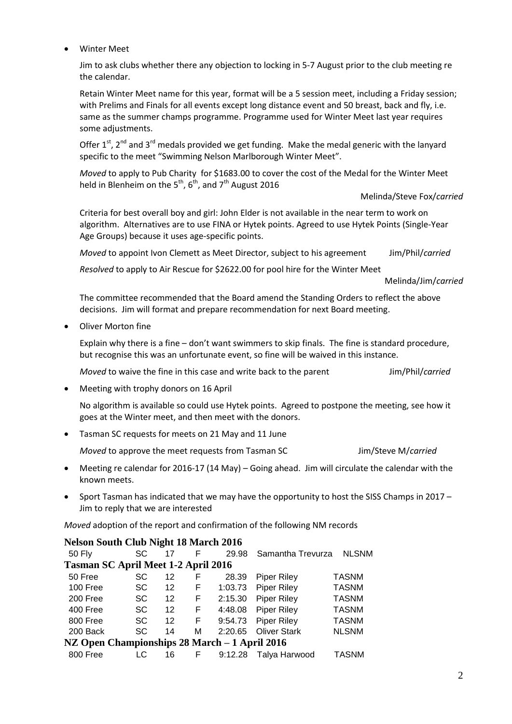Winter Meet

Jim to ask clubs whether there any objection to locking in 5-7 August prior to the club meeting re the calendar.

Retain Winter Meet name for this year, format will be a 5 session meet, including a Friday session; with Prelims and Finals for all events except long distance event and 50 breast, back and fly, i.e. same as the summer champs programme. Programme used for Winter Meet last year requires some adjustments.

Offer  $1^{st}$ ,  $2^{nd}$  and  $3^{rd}$  medals provided we get funding. Make the medal generic with the lanyard specific to the meet "Swimming Nelson Marlborough Winter Meet".

*Moved* to apply to Pub Charity for \$1683.00 to cover the cost of the Medal for the Winter Meet held in Blenheim on the  $5^{th}$ ,  $6^{th}$ , and  $7^{th}$  August 2016

Melinda/Steve Fox/*carried*

Criteria for best overall boy and girl: John Elder is not available in the near term to work on algorithm. Alternatives are to use FINA or Hytek points. Agreed to use Hytek Points (Single-Year Age Groups) because it uses age-specific points.

*Moved* to appoint Ivon Clemett as Meet Director, subject to his agreement Jim/Phil/*carried*

*Resolved* to apply to Air Rescue for \$2622.00 for pool hire for the Winter Meet

Melinda/Jim/*carried*

The committee recommended that the Board amend the Standing Orders to reflect the above decisions. Jim will format and prepare recommendation for next Board meeting.

Oliver Morton fine

Explain why there is a fine – don't want swimmers to skip finals. The fine is standard procedure, but recognise this was an unfortunate event, so fine will be waived in this instance.

*Moved* to waive the fine in this case and write back to the parent Jim/Phil/*carried* 

• Meeting with trophy donors on 16 April

No algorithm is available so could use Hytek points. Agreed to postpone the meeting, see how it goes at the Winter meet, and then meet with the donors.

Tasman SC requests for meets on 21 May and 11 June

*Moved* to approve the meet requests from Tasman SC Jim/Steve M/*carried*

- Meeting re calendar for 2016-17 (14 May) Going ahead. Jim will circulate the calendar with the known meets.
- Sport Tasman has indicated that we may have the opportunity to host the SISS Champs in 2017 Jim to reply that we are interested

*Moved* adoption of the report and confirmation of the following NM records

## **Nelson South Club Night 18 March 2016**

| $2.1220$ can be oursely determined and all $2.220$ |           |    |    |         |                     |              |  |  |  |
|----------------------------------------------------|-----------|----|----|---------|---------------------|--------------|--|--|--|
| <b>50 Fly</b>                                      | SC        | 17 | F  | 29.98   | Samantha Trevurza   | <b>NLSNM</b> |  |  |  |
| <b>Tasman SC April Meet 1-2 April 2016</b>         |           |    |    |         |                     |              |  |  |  |
| 50 Free                                            | SC        | 12 | F  | 28.39   | <b>Piper Riley</b>  | <b>TASNM</b> |  |  |  |
| 100 Free                                           | <b>SC</b> | 12 | F  | 1:03.73 | <b>Piper Riley</b>  | <b>TASNM</b> |  |  |  |
| 200 Free                                           | <b>SC</b> | 12 | F  | 2:15.30 | <b>Piper Riley</b>  | <b>TASNM</b> |  |  |  |
| 400 Free                                           | <b>SC</b> | 12 | F  | 4:48.08 | <b>Piper Riley</b>  | <b>TASNM</b> |  |  |  |
| 800 Free                                           | <b>SC</b> | 12 | F. | 9:54.73 | <b>Piper Riley</b>  | <b>TASNM</b> |  |  |  |
| 200 Back                                           | <b>SC</b> | 14 | М  | 2:20.65 | <b>Oliver Stark</b> | <b>NLSNM</b> |  |  |  |
| NZ Open Championships 28 March – 1 April 2016      |           |    |    |         |                     |              |  |  |  |
| 800 Free                                           | LC        | 16 | F  | 9:12.28 | Talya Harwood       | <b>TASNM</b> |  |  |  |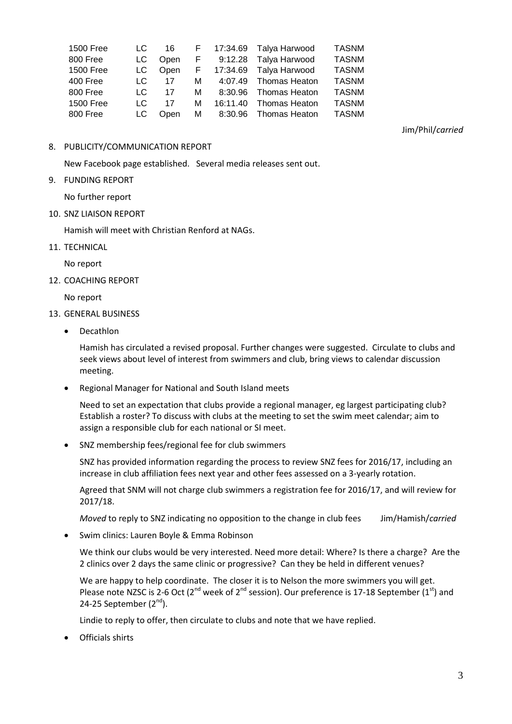|     |      |                               |  | <b>TASNM</b>                                                                                                                                                                                            |
|-----|------|-------------------------------|--|---------------------------------------------------------------------------------------------------------------------------------------------------------------------------------------------------------|
| LC. | Open |                               |  | <b>TASNM</b>                                                                                                                                                                                            |
|     |      |                               |  | <b>TASNM</b>                                                                                                                                                                                            |
|     |      |                               |  | <b>TASNM</b>                                                                                                                                                                                            |
| LC. |      |                               |  | <b>TASNM</b>                                                                                                                                                                                            |
| LC. | 17   |                               |  | <b>TASNM</b>                                                                                                                                                                                            |
|     | Open |                               |  | <b>TASNM</b>                                                                                                                                                                                            |
|     |      | LC —<br>$LC$ 17<br>17<br>LC — |  | 16 F 17:34.69 Talya Harwood<br>F 9:12.28 Talya Harwood<br>LC Open F 17:34.69 Talya Harwood<br>M 4:07.49 Thomas Heaton<br>M 8:30.96 Thomas Heaton<br>M 16:11.40 Thomas Heaton<br>M 8:30.96 Thomas Heaton |

Jim/Phil/*carried*

#### 8. PUBLICITY/COMMUNICATION REPORT

New Facebook page established. Several media releases sent out.

9. FUNDING REPORT

No further report

10. SNZ LIAISON REPORT

Hamish will meet with Christian Renford at NAGs.

11. TECHNICAL

No report

12. COACHING REPORT

No report

- 13. GENERAL BUSINESS
	- Decathlon

Hamish has circulated a revised proposal. Further changes were suggested. Circulate to clubs and seek views about level of interest from swimmers and club, bring views to calendar discussion meeting.

Regional Manager for National and South Island meets

Need to set an expectation that clubs provide a regional manager, eg largest participating club? Establish a roster? To discuss with clubs at the meeting to set the swim meet calendar; aim to assign a responsible club for each national or SI meet.

SNZ membership fees/regional fee for club swimmers

SNZ has provided information regarding the process to review SNZ fees for 2016/17, including an increase in club affiliation fees next year and other fees assessed on a 3-yearly rotation.

Agreed that SNM will not charge club swimmers a registration fee for 2016/17, and will review for 2017/18.

*Moved* to reply to SNZ indicating no opposition to the change in club fees Jim/Hamish/*carried*

Swim clinics: Lauren Boyle & Emma Robinson

We think our clubs would be very interested. Need more detail: Where? Is there a charge? Are the 2 clinics over 2 days the same clinic or progressive? Can they be held in different venues?

We are happy to help coordinate. The closer it is to Nelson the more swimmers you will get. Please note NZSC is 2-6 Oct ( $2<sup>nd</sup>$  week of  $2<sup>nd</sup>$  session). Our preference is 17-18 September ( $1<sup>st</sup>$ ) and 24-25 September  $(2<sup>nd</sup>)$ .

Lindie to reply to offer, then circulate to clubs and note that we have replied.

Officials shirts